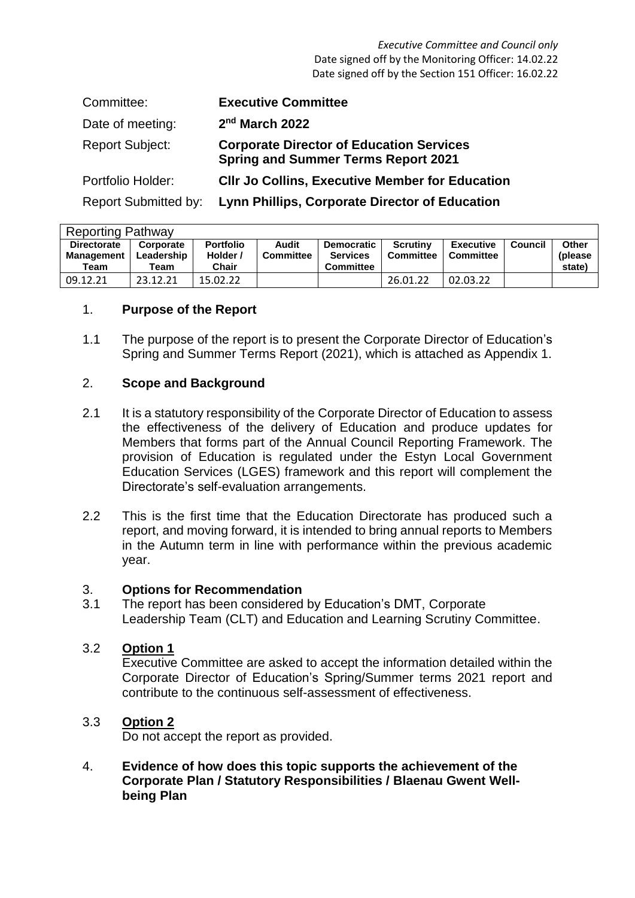*Executive Committee and Council only* Date signed off by the Monitoring Officer: 14.02.22 Date signed off by the Section 151 Officer: 16.02.22

| Committee:                  | <b>Executive Committee</b>                                                                    |
|-----------------------------|-----------------------------------------------------------------------------------------------|
| Date of meeting:            | $2nd$ March 2022                                                                              |
| <b>Report Subject:</b>      | <b>Corporate Director of Education Services</b><br><b>Spring and Summer Terms Report 2021</b> |
| Portfolio Holder:           | <b>CIIr Jo Collins, Executive Member for Education</b>                                        |
| <b>Report Submitted by:</b> | Lynn Phillips, Corporate Director of Education                                                |

| <b>Reporting Pathway</b>                        |                                 |                                       |                           |                                                          |                              |                                      |         |                             |  |  |
|-------------------------------------------------|---------------------------------|---------------------------------------|---------------------------|----------------------------------------------------------|------------------------------|--------------------------------------|---------|-----------------------------|--|--|
| <b>Directorate</b><br><b>Management</b><br>Team | Corporate<br>Leadership<br>Team | <b>Portfolio</b><br>Holder /<br>Chair | Audit<br><b>Committee</b> | <b>Democratic</b><br><b>Services</b><br><b>Committee</b> | <b>Scrutiny</b><br>Committee | <b>Executive</b><br><b>Committee</b> | Council | Other<br>(please)<br>state) |  |  |
| 09.12.21                                        | 23.12.21                        | 15.02.22                              |                           |                                                          | 26.01.22                     | 02.03.22                             |         |                             |  |  |

#### 1. **Purpose of the Report**

1.1 The purpose of the report is to present the Corporate Director of Education's Spring and Summer Terms Report (2021), which is attached as Appendix 1.

#### 2. **Scope and Background**

- 2.1 It is a statutory responsibility of the Corporate Director of Education to assess the effectiveness of the delivery of Education and produce updates for Members that forms part of the Annual Council Reporting Framework. The provision of Education is regulated under the Estyn Local Government Education Services (LGES) framework and this report will complement the Directorate's self-evaluation arrangements.
- 2.2 This is the first time that the Education Directorate has produced such a report, and moving forward, it is intended to bring annual reports to Members in the Autumn term in line with performance within the previous academic year.

#### 3. **Options for Recommendation**

3.1 The report has been considered by Education's DMT, Corporate Leadership Team (CLT) and Education and Learning Scrutiny Committee.

#### 3.2 **Option 1**

Executive Committee are asked to accept the information detailed within the Corporate Director of Education's Spring/Summer terms 2021 report and contribute to the continuous self-assessment of effectiveness.

#### 3.3 **Option 2**

Do not accept the report as provided.

4. **Evidence of how does this topic supports the achievement of the Corporate Plan / Statutory Responsibilities / Blaenau Gwent Wellbeing Plan**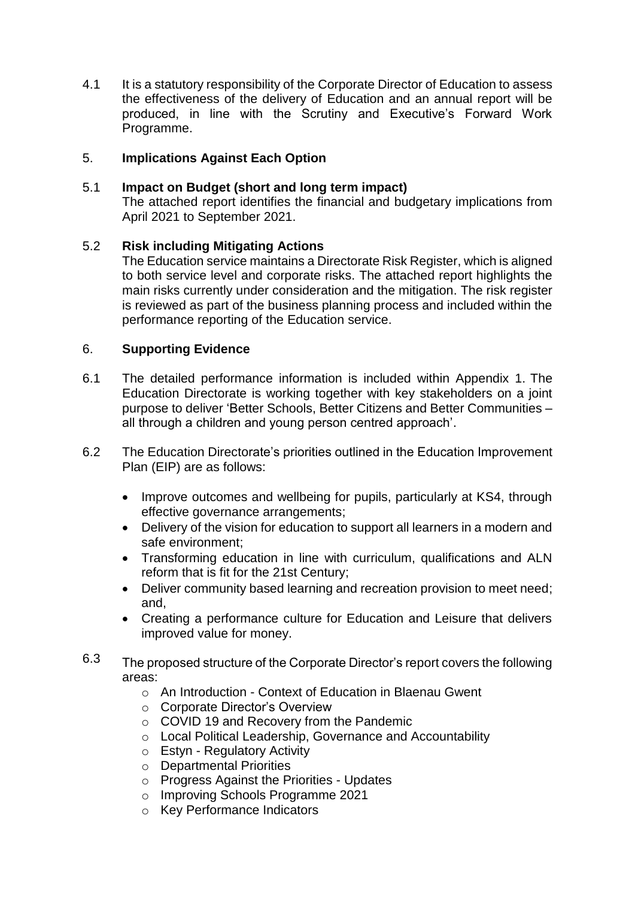4.1 It is a statutory responsibility of the Corporate Director of Education to assess the effectiveness of the delivery of Education and an annual report will be produced, in line with the Scrutiny and Executive's Forward Work Programme.

# 5. **Implications Against Each Option**

# 5.1 **Impact on Budget (short and long term impact)**

The attached report identifies the financial and budgetary implications from April 2021 to September 2021.

# 5.2 **Risk including Mitigating Actions**

The Education service maintains a Directorate Risk Register, which is aligned to both service level and corporate risks. The attached report highlights the main risks currently under consideration and the mitigation. The risk register is reviewed as part of the business planning process and included within the performance reporting of the Education service.

# 6. **Supporting Evidence**

- 6.1 The detailed performance information is included within Appendix 1. The Education Directorate is working together with key stakeholders on a joint purpose to deliver 'Better Schools, Better Citizens and Better Communities – all through a children and young person centred approach'.
- 6.2 The Education Directorate's priorities outlined in the Education Improvement Plan (EIP) are as follows:
	- Improve outcomes and wellbeing for pupils, particularly at KS4, through effective governance arrangements;
	- Delivery of the vision for education to support all learners in a modern and safe environment;
	- Transforming education in line with curriculum, qualifications and ALN reform that is fit for the 21st Century;
	- Deliver community based learning and recreation provision to meet need; and,
	- Creating a performance culture for Education and Leisure that delivers improved value for money.
- 6.3 The proposed structure of the Corporate Director's report covers the following areas:
	- o An Introduction Context of Education in Blaenau Gwent
	- o Corporate Director's Overview
	- o COVID 19 and Recovery from the Pandemic
	- o Local Political Leadership, Governance and Accountability
	- o Estyn Regulatory Activity
	- o Departmental Priorities
	- o Progress Against the Priorities Updates
	- o Improving Schools Programme 2021
	- o Key Performance Indicators